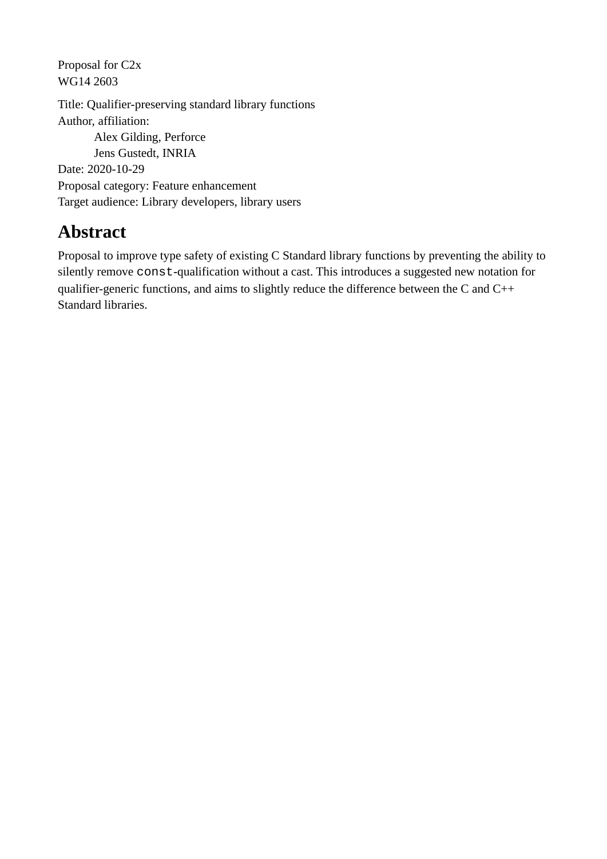Proposal for C2x WG14 2603 Title: Qualifier-preserving standard library functions Author, affiliation: Alex Gilding, Perforce Jens Gustedt, INRIA Date: 2020-10-29 Proposal category: Feature enhancement Target audience: Library developers, library users

## **Abstract**

Proposal to improve type safety of existing C Standard library functions by preventing the ability to silently remove const-qualification without a cast. This introduces a suggested new notation for qualifier-generic functions, and aims to slightly reduce the difference between the C and C++ Standard libraries.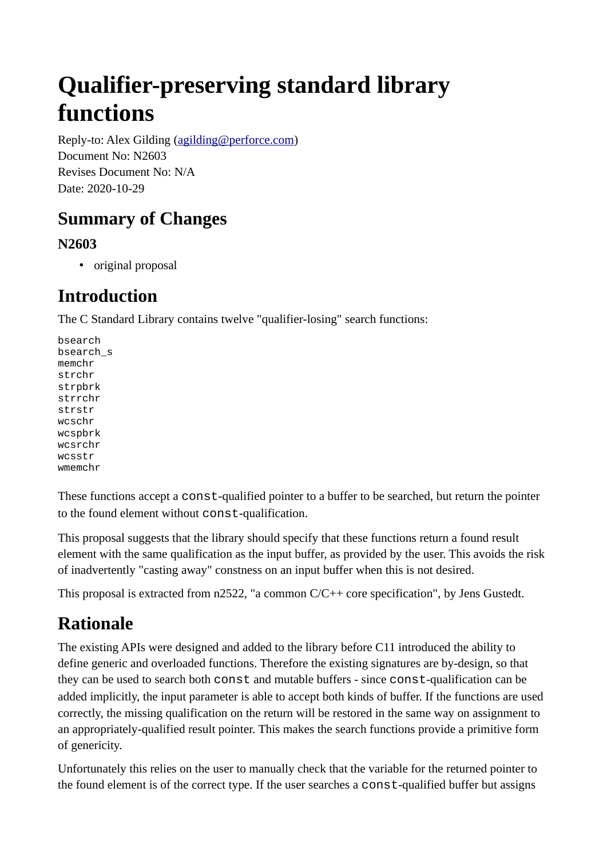# **Qualifier-preserving standard library functions**

Reply-to: Alex Gilding [\(agilding@perforce.com](mailto:agilding@perforce.com)) Document No: N2603 Revises Document No: N/A Date: 2020-10-29

## **Summary of Changes**

### **N2603**

• original proposal

## **Introduction**

The C Standard Library contains twelve "qualifier-losing" search functions:

bsearch bsearch\_s memchr strchr strpbrk strrchr strstr wcschr wcspbrk wcsrchr wcsstr wmemchr

These functions accept a const-qualified pointer to a buffer to be searched, but return the pointer to the found element without const-qualification.

This proposal suggests that the library should specify that these functions return a found result element with the same qualification as the input buffer, as provided by the user. This avoids the risk of inadvertently "casting away" constness on an input buffer when this is not desired.

This proposal is extracted from n2522, "a common C/C++ core specification", by Jens Gustedt.

## **Rationale**

The existing APIs were designed and added to the library before C11 introduced the ability to define generic and overloaded functions. Therefore the existing signatures are by-design, so that they can be used to search both const and mutable buffers - since const-qualification can be added implicitly, the input parameter is able to accept both kinds of buffer. If the functions are used correctly, the missing qualification on the return will be restored in the same way on assignment to an appropriately-qualified result pointer. This makes the search functions provide a primitive form of genericity.

Unfortunately this relies on the user to manually check that the variable for the returned pointer to the found element is of the correct type. If the user searches a const-qualified buffer but assigns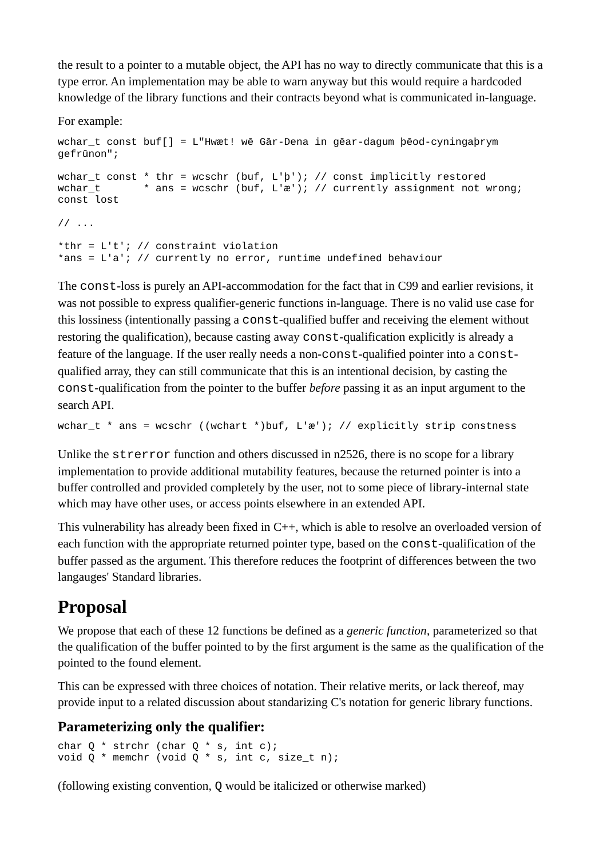the result to a pointer to a mutable object, the API has no way to directly communicate that this is a type error. An implementation may be able to warn anyway but this would require a hardcoded knowledge of the library functions and their contracts beyond what is communicated in-language.

For example:

```
wchar_t const buf[] = L"Hwæt! wē Gār-Dena in gēar-dagum þēod-cyningaþrym 
gefrūnon";
wchar_t const * thr = wcschr (buf, L'p'); // const implicitly restored wchar_t * ans = wcschr (buf, L'\alpha'); // currently assignment not \nu
                 * ans = wcschr (buf, L'æ'); // currently assignment not wrong;
const lost
// ...
*thr = L't'; // constraint violation
*ans = L'a'; // currently no error, runtime undefined behaviour
```
The const-loss is purely an API-accommodation for the fact that in C99 and earlier revisions, it was not possible to express qualifier-generic functions in-language. There is no valid use case for this lossiness (intentionally passing a const-qualified buffer and receiving the element without restoring the qualification), because casting away const-qualification explicitly is already a feature of the language. If the user really needs a non-const-qualified pointer into a constqualified array, they can still communicate that this is an intentional decision, by casting the const-qualification from the pointer to the buffer *before* passing it as an input argument to the search API.

```
wchar_t * ans = wcschr ((wchart *)buf, L'x'); // explicitly strip constness
```
Unlike the strerror function and others discussed in n2526, there is no scope for a library implementation to provide additional mutability features, because the returned pointer is into a buffer controlled and provided completely by the user, not to some piece of library-internal state which may have other uses, or access points elsewhere in an extended API.

This vulnerability has already been fixed in C++, which is able to resolve an overloaded version of each function with the appropriate returned pointer type, based on the const-qualification of the buffer passed as the argument. This therefore reduces the footprint of differences between the two langauges' Standard libraries.

## **Proposal**

We propose that each of these 12 functions be defined as a *generic function*, parameterized so that the qualification of the buffer pointed to by the first argument is the same as the qualification of the pointed to the found element.

This can be expressed with three choices of notation. Their relative merits, or lack thereof, may provide input to a related discussion about standarizing C's notation for generic library functions.

### **Parameterizing only the qualifier:**

```
char Q * strchr (char Q * s, int c);
void Q^* memchr (void Q^* s, int c, size_t n);
```
(following existing convention, Q would be italicized or otherwise marked)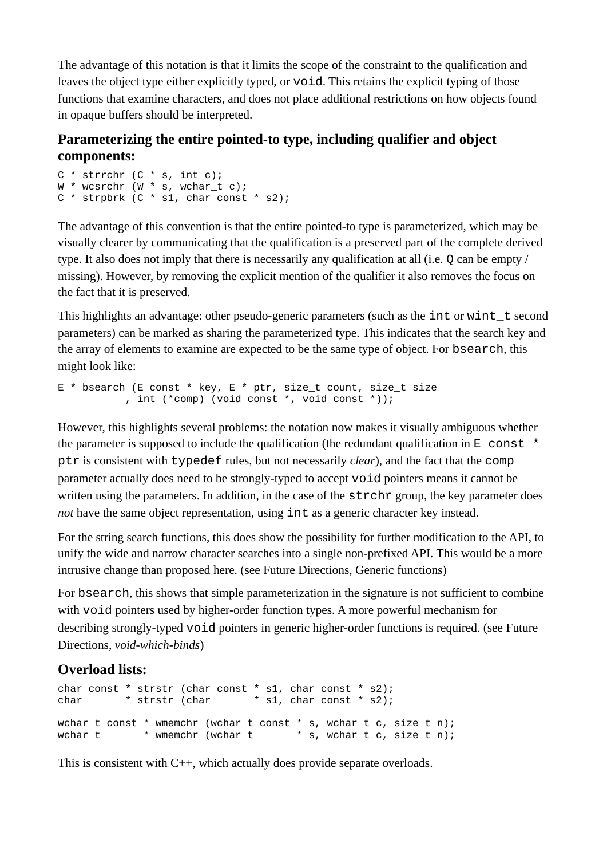The advantage of this notation is that it limits the scope of the constraint to the qualification and leaves the object type either explicitly typed, or  $\vee$  oid. This retains the explicit typing of those functions that examine characters, and does not place additional restrictions on how objects found in opaque buffers should be interpreted.

### **Parameterizing the entire pointed-to type, including qualifier and object components:**

```
C * strrchr (C * s, int c);
W * wcsrchr (W * s, wchar_t c);
\begin{bmatrix} 1 & 1 & 1 \\ 1 & 1 & 1 \end{bmatrix} and \begin{bmatrix} 1 & 1 & 1 \\ 1 & 1 & 1 \end{bmatrix} and \begin{bmatrix} 1 & 1 & 1 \\ 1 & 1 & 1 \end{bmatrix} and \begin{bmatrix} 1 & 1 & 1 \\ 1 & 1 & 1 \end{bmatrix} and \begin{bmatrix} 1 & 1 & 1 \\ 1 & 1 & 1 \end{bmatrix} and \begin{bmatrix} 1 & 1 & 1 \\ 1 & 1 & 1 \end{bmatrix} and \begin{b
```
The advantage of this convention is that the entire pointed-to type is parameterized, which may be visually clearer by communicating that the qualification is a preserved part of the complete derived type. It also does not imply that there is necessarily any qualification at all (i.e. Q can be empty / missing). However, by removing the explicit mention of the qualifier it also removes the focus on the fact that it is preserved.

This highlights an advantage: other pseudo-generic parameters (such as the  $int$  or wint t second parameters) can be marked as sharing the parameterized type. This indicates that the search key and the array of elements to examine are expected to be the same type of object. For bsearch, this might look like:

```
E * bsearch (E const * key, E * ptr, size_t count, size_t size
            , int (*comp) (void const *, void const *));
```
However, this highlights several problems: the notation now makes it visually ambiguous whether the parameter is supposed to include the qualification (the redundant qualification in  $E$  const  $*$ ptr is consistent with typedef rules, but not necessarily *clear*), and the fact that the comp parameter actually does need to be strongly-typed to accept void pointers means it cannot be written using the parameters. In addition, in the case of the Strchr group, the key parameter does *not* have the same object representation, using int as a generic character key instead.

For the string search functions, this does show the possibility for further modification to the API, to unify the wide and narrow character searches into a single non-prefixed API. This would be a more intrusive change than proposed here. (see Future Directions, Generic functions)

For bsearch, this shows that simple parameterization in the signature is not sufficient to combine with void pointers used by higher-order function types. A more powerful mechanism for describing strongly-typed void pointers in generic higher-order functions is required. (see Future Directions, *void-which-binds*)

### **Overload lists:**

```
char const * strstr (char const * s1, char const * s2);<br>char * strstr (char * s1, char const * s2);
char * strstr (char * s1, char const * s2);
wchar_t const * wmemchr (wchar_t const * s, wchar_t c, size_t n);<br>wchar t     * wmemchr (wchar t     * s, wchar t c, size t n);
wchar_t * wmemchr (wchar_t * s, wchar_t c, size_t n);
```
This is consistent with C++, which actually does provide separate overloads.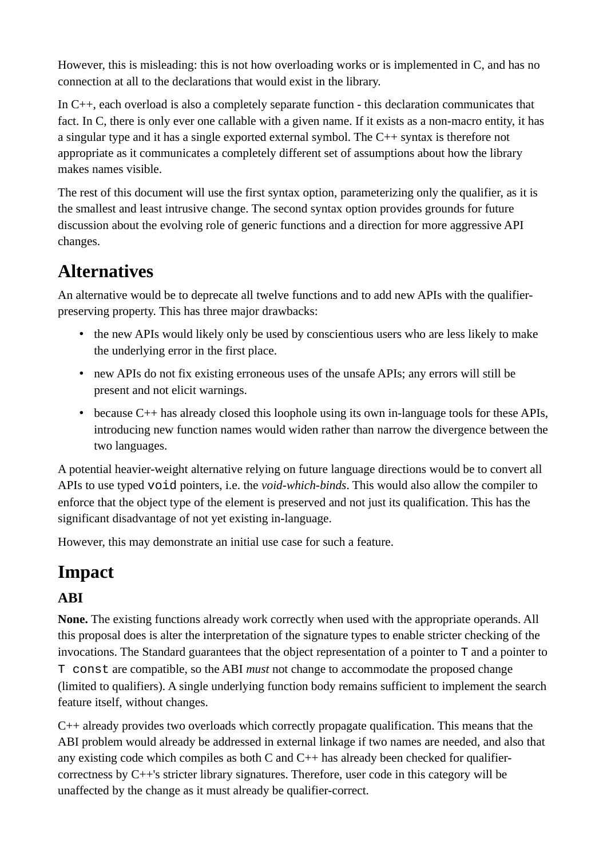However, this is misleading: this is not how overloading works or is implemented in C, and has no connection at all to the declarations that would exist in the library.

In C++, each overload is also a completely separate function - this declaration communicates that fact. In C, there is only ever one callable with a given name. If it exists as a non-macro entity, it has a singular type and it has a single exported external symbol. The C++ syntax is therefore not appropriate as it communicates a completely different set of assumptions about how the library makes names visible.

The rest of this document will use the first syntax option, parameterizing only the qualifier, as it is the smallest and least intrusive change. The second syntax option provides grounds for future discussion about the evolving role of generic functions and a direction for more aggressive API changes.

## **Alternatives**

An alternative would be to deprecate all twelve functions and to add new APIs with the qualifierpreserving property. This has three major drawbacks:

- the new APIs would likely only be used by conscientious users who are less likely to make the underlying error in the first place.
- new APIs do not fix existing erroneous uses of the unsafe APIs; any errors will still be present and not elicit warnings.
- because C++ has already closed this loophole using its own in-language tools for these APIs, introducing new function names would widen rather than narrow the divergence between the two languages.

A potential heavier-weight alternative relying on future language directions would be to convert all APIs to use typed void pointers, i.e. the *void-which-binds*. This would also allow the compiler to enforce that the object type of the element is preserved and not just its qualification. This has the significant disadvantage of not yet existing in-language.

However, this may demonstrate an initial use case for such a feature.

## **Impact**

## **ABI**

**None.** The existing functions already work correctly when used with the appropriate operands. All this proposal does is alter the interpretation of the signature types to enable stricter checking of the invocations. The Standard guarantees that the object representation of a pointer to T and a pointer to T const are compatible, so the ABI *must* not change to accommodate the proposed change (limited to qualifiers). A single underlying function body remains sufficient to implement the search feature itself, without changes.

C++ already provides two overloads which correctly propagate qualification. This means that the ABI problem would already be addressed in external linkage if two names are needed, and also that any existing code which compiles as both  $C$  and  $C^{++}$  has already been checked for qualifiercorrectness by C++'s stricter library signatures. Therefore, user code in this category will be unaffected by the change as it must already be qualifier-correct.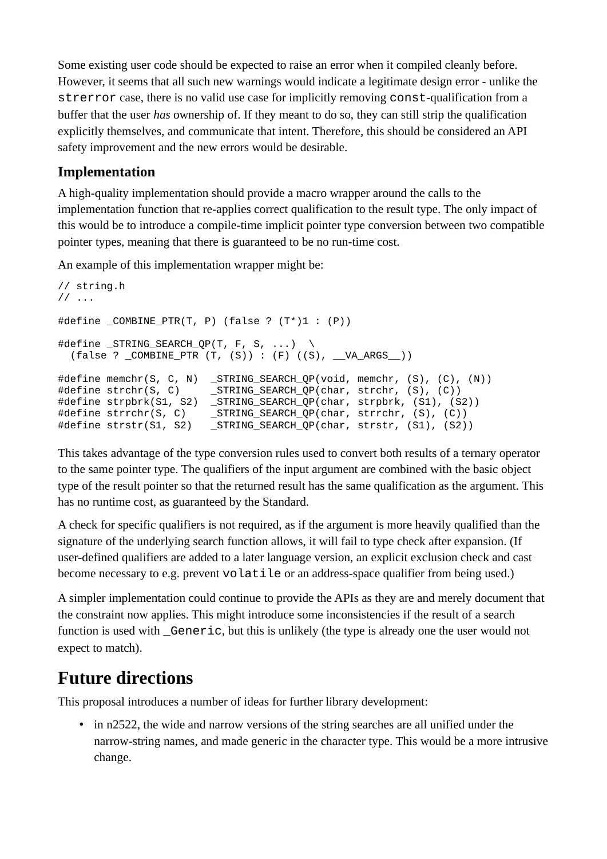Some existing user code should be expected to raise an error when it compiled cleanly before. However, it seems that all such new warnings would indicate a legitimate design error - unlike the strerror case, there is no valid use case for implicitly removing const-qualification from a buffer that the user *has* ownership of. If they meant to do so, they can still strip the qualification explicitly themselves, and communicate that intent. Therefore, this should be considered an API safety improvement and the new errors would be desirable.

### **Implementation**

A high-quality implementation should provide a macro wrapper around the calls to the implementation function that re-applies correct qualification to the result type. The only impact of this would be to introduce a compile-time implicit pointer type conversion between two compatible pointer types, meaning that there is guaranteed to be no run-time cost.

An example of this implementation wrapper might be:

```
// string.h
// ...
#define COMBINE PTR(T, P) (false ? (T^*)1 : (P))
#define _STRING_SEARCH_QP(T, F, S, ...) \
  (false ? _COMBINE_PTR (T, (S)) : (F) ((S), _VAARGS_#define memchr(S, C, N) _STRING_SEARCH_QP(void, memchr, (S), (C), (N))
#define strchr(S, C) _STRING_SEARCH_QP(char, strchr, (S), (C))
#define strpbrk(S1, S2) _STRING_SEARCH_QP(char, strpbrk, (S1), (S2))
#define strrchr(S, C) _STRING_SEARCH_QP(char, strrchr, (S), (C))
                        ISTRING\_SEARCH_QP(char, strstr, (S1), (S2))
```
This takes advantage of the type conversion rules used to convert both results of a ternary operator to the same pointer type. The qualifiers of the input argument are combined with the basic object type of the result pointer so that the returned result has the same qualification as the argument. This has no runtime cost, as guaranteed by the Standard.

A check for specific qualifiers is not required, as if the argument is more heavily qualified than the signature of the underlying search function allows, it will fail to type check after expansion. (If user-defined qualifiers are added to a later language version, an explicit exclusion check and cast become necessary to e.g. prevent volatile or an address-space qualifier from being used.)

A simpler implementation could continue to provide the APIs as they are and merely document that the constraint now applies. This might introduce some inconsistencies if the result of a search function is used with Generic, but this is unlikely (the type is already one the user would not expect to match).

## **Future directions**

This proposal introduces a number of ideas for further library development:

• in n2522, the wide and narrow versions of the string searches are all unified under the narrow-string names, and made generic in the character type. This would be a more intrusive change.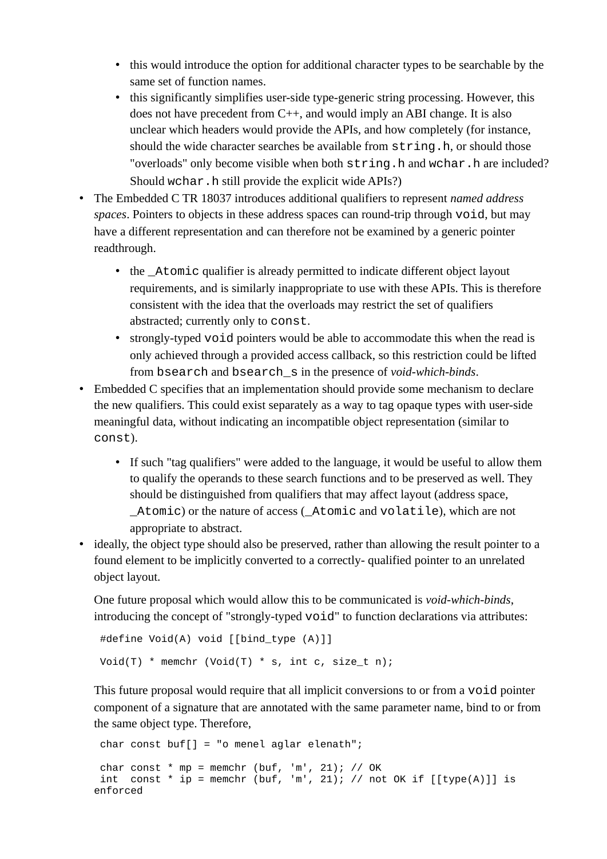- this would introduce the option for additional character types to be searchable by the same set of function names.
- this significantly simplifies user-side type-generic string processing. However, this does not have precedent from C++, and would imply an ABI change. It is also unclear which headers would provide the APIs, and how completely (for instance, should the wide character searches be available from  $string.h$ , or should those "overloads" only become visible when both string.h and wchar.h are included? Should wchar.h still provide the explicit wide APIs?)
- The Embedded C TR 18037 introduces additional qualifiers to represent *named address*  spaces. Pointers to objects in these address spaces can round-trip through void, but may have a different representation and can therefore not be examined by a generic pointer readthrough.
	- the \_Atomic qualifier is already permitted to indicate different object layout requirements, and is similarly inappropriate to use with these APIs. This is therefore consistent with the idea that the overloads may restrict the set of qualifiers abstracted; currently only to const.
	- strongly-typed void pointers would be able to accommodate this when the read is only achieved through a provided access callback, so this restriction could be lifted from bsearch and bsearch\_s in the presence of *void-which-binds*.
- Embedded C specifies that an implementation should provide some mechanism to declare the new qualifiers. This could exist separately as a way to tag opaque types with user-side meaningful data, without indicating an incompatible object representation (similar to const).
	- If such "tag qualifiers" were added to the language, it would be useful to allow them to qualify the operands to these search functions and to be preserved as well. They should be distinguished from qualifiers that may affect layout (address space, Atomic) or the nature of access ( Atomic and volatile), which are not appropriate to abstract.
- ideally, the object type should also be preserved, rather than allowing the result pointer to a found element to be implicitly converted to a correctly- qualified pointer to an unrelated object layout.

One future proposal which would allow this to be communicated is *void-which-binds*, introducing the concept of "strongly-typed void" to function declarations via attributes:

```
#define Void(A) void [[bind_type (A)]]
Void(T) * memchr (Void(T) * s, int c, size_t n);
```
This future proposal would require that all implicit conversions to or from a void pointer component of a signature that are annotated with the same parameter name, bind to or from the same object type. Therefore,

```
char const buf[] = "o menel aglar elenath";
 char const * mp = memchr (buf, 'm', 21); // OK
 int const * ip = memchr (buf, 'm', 21); // not OK if [[type(A)]] is 
enforced
```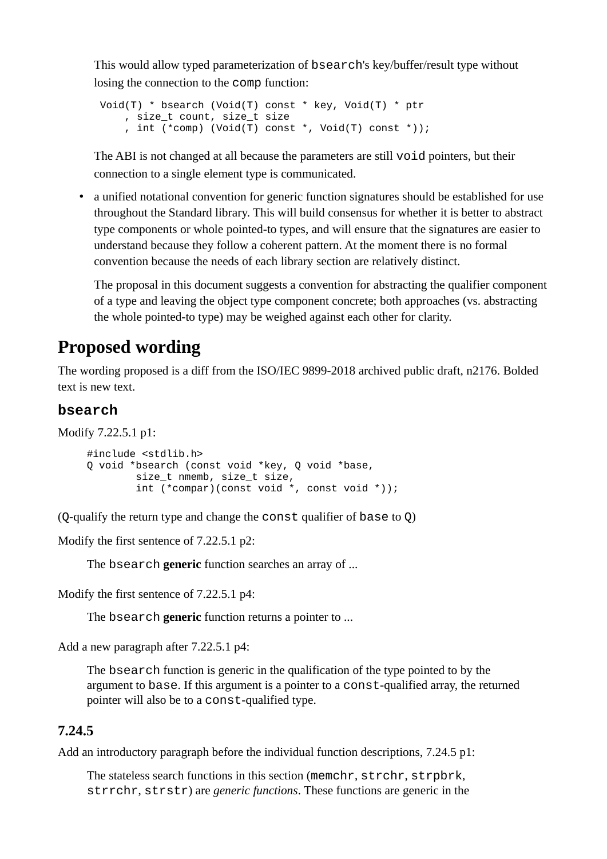This would allow typed parameterization of bsearch's key/buffer/result type without losing the connection to the comp function:

```
Void(T) * bsearch (Void(T) const * key, Void(T) * ptr
     , size_t count, size_t size
     , int (*comp) (Void(T) const *, Void(T) const *));
```
The ABI is not changed at all because the parameters are still void pointers, but their connection to a single element type is communicated.

• a unified notational convention for generic function signatures should be established for use throughout the Standard library. This will build consensus for whether it is better to abstract type components or whole pointed-to types, and will ensure that the signatures are easier to understand because they follow a coherent pattern. At the moment there is no formal convention because the needs of each library section are relatively distinct.

The proposal in this document suggests a convention for abstracting the qualifier component of a type and leaving the object type component concrete; both approaches (vs. abstracting the whole pointed-to type) may be weighed against each other for clarity.

## **Proposed wording**

The wording proposed is a diff from the ISO/IEC 9899-2018 archived public draft, n2176. Bolded text is new text.

### **bsearch**

Modify 7.22.5.1 p1:

```
#include <stdlib.h>
Q void *bsearch (const void *key, Q void *base,
         size_t nmemb, size_t size,
         int (*compar)(const void *, const void *));
```
(Q-qualify the return type and change the const qualifier of base to Q)

Modify the first sentence of 7.22.5.1 p2:

The bsearch **generic** function searches an array of ...

Modify the first sentence of 7.22.5.1 p4:

The bsearch **generic** function returns a pointer to ...

Add a new paragraph after 7.22.5.1 p4:

The bsearch function is generic in the qualification of the type pointed to by the argument to base. If this argument is a pointer to a const-qualified array, the returned pointer will also be to a const-qualified type.

### **7.24.5**

Add an introductory paragraph before the individual function descriptions, 7.24.5 p1:

The stateless search functions in this section (memchr, strchr, strpbrk, strrchr, strstr) are *generic functions*. These functions are generic in the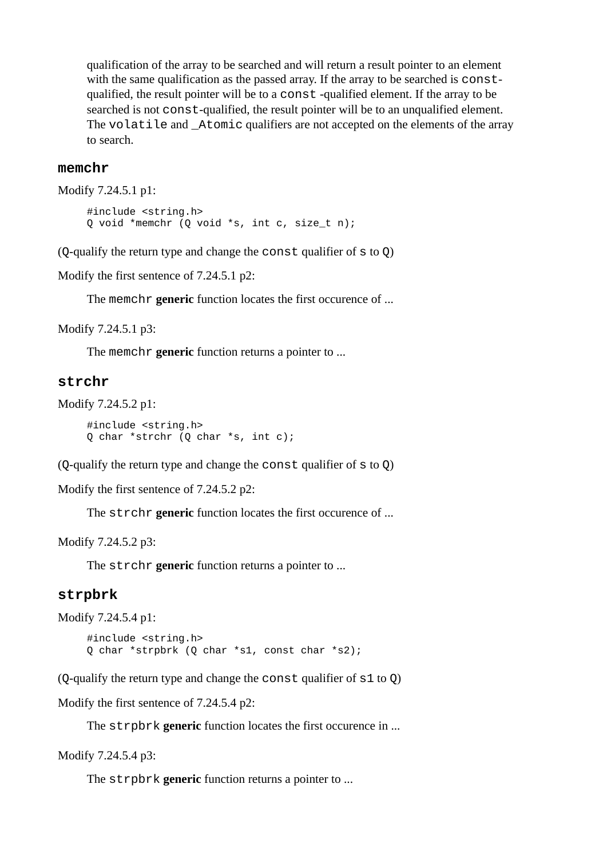qualification of the array to be searched and will return a result pointer to an element with the same qualification as the passed array. If the array to be searched is constqualified, the result pointer will be to a const -qualified element. If the array to be searched is not const-qualified, the result pointer will be to an unqualified element. The volatile and Atomic qualifiers are not accepted on the elements of the array to search.

#### **memchr**

```
Modify 7.24.5.1 p1:
```

```
#include <string.h>
Q void *memchr (Q void *s, int c, size_t n);
```
(Q-qualify the return type and change the const qualifier of s to Q)

Modify the first sentence of 7.24.5.1 p2:

The memchr **generic** function locates the first occurence of ...

Modify 7.24.5.1 p3:

The memchr **generic** function returns a pointer to ...

#### **strchr**

```
Modify 7.24.5.2 p1:
```

```
#include <string.h>
Q char *strchr (Q char *s, int c);
```
(Q-qualify the return type and change the const qualifier of s to Q)

Modify the first sentence of 7.24.5.2 p2:

The strchr **generic** function locates the first occurence of ...

Modify 7.24.5.2 p3:

The strchr **generic** function returns a pointer to ...

### **strpbrk**

Modify 7.24.5.4 p1:

```
#include <string.h>
Q char *strpbrk (Q char *s1, const char *s2);
```
(Q-qualify the return type and change the const qualifier of s1 to Q)

Modify the first sentence of 7.24.5.4 p2:

The strpbrk **generic** function locates the first occurence in ...

Modify 7.24.5.4 p3:

The strpbrk **generic** function returns a pointer to ...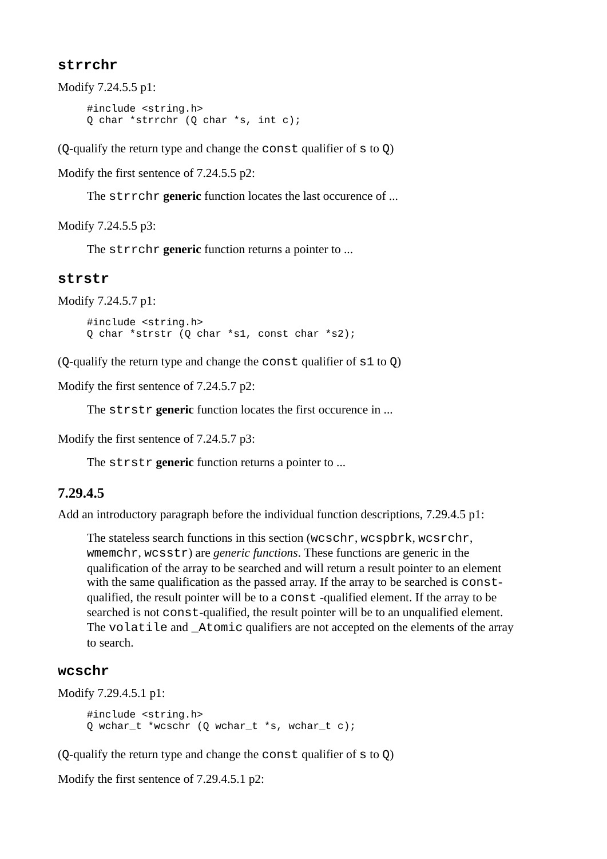### **strrchr**

```
Modify 7.24.5.5 p1:
     #include <string.h>
     Q char *strrchr (Q char *s, int c);
```
(Q-qualify the return type and change the const qualifier of s to Q)

Modify the first sentence of 7.24.5.5 p2:

The strrchr **generic** function locates the last occurence of ...

Modify 7.24.5.5 p3:

The strrchr **generic** function returns a pointer to ...

### **strstr**

```
Modify 7.24.5.7 p1:
```

```
#include <string.h>
Q char *strstr (Q char *s1, const char *s2);
```
(Q-qualify the return type and change the const qualifier of s1 to Q)

Modify the first sentence of 7.24.5.7 p2:

The strstr **generic** function locates the first occurence in ...

Modify the first sentence of 7.24.5.7 p3:

The strstr **generic** function returns a pointer to ...

#### **7.29.4.5**

Add an introductory paragraph before the individual function descriptions, 7.29.4.5 p1:

The stateless search functions in this section (wcschr, wcspbrk, wcsrchr, wmemchr, wcsstr) are *generic functions*. These functions are generic in the qualification of the array to be searched and will return a result pointer to an element with the same qualification as the passed array. If the array to be searched is constqualified, the result pointer will be to a const -qualified element. If the array to be searched is not const-qualified, the result pointer will be to an unqualified element. The volatile and \_Atomic qualifiers are not accepted on the elements of the array to search.

#### **wcschr**

```
Modify 7.29.4.5.1 p1:
```

```
#include <string.h>
Q wchar_t *wcschr (Q wchar_t *s, wchar_t c);
```
(Q-qualify the return type and change the const qualifier of s to Q)

Modify the first sentence of 7.29.4.5.1 p2: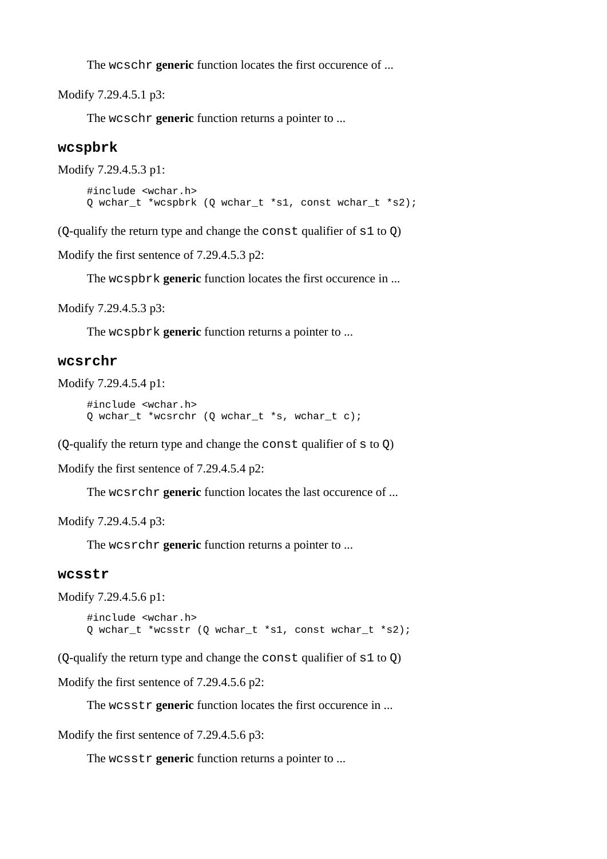The wcschr **generic** function locates the first occurence of ...

Modify 7.29.4.5.1 p3:

The wcschr **generic** function returns a pointer to ...

#### **wcspbrk**

```
Modify 7.29.4.5.3 p1:
```

```
#include <wchar.h>
Q wchar_t *wcspbrk (Q wchar_t *s1, const wchar_t *s2);
```
(Q-qualify the return type and change the const qualifier of s1 to Q)

Modify the first sentence of 7.29.4.5.3 p2:

The wcspbrk **generic** function locates the first occurence in ...

Modify 7.29.4.5.3 p3:

The wcspbrk **generic** function returns a pointer to ...

#### **wcsrchr**

```
Modify 7.29.4.5.4 p1:
```

```
#include <wchar.h>
Q wchar_t *wcsrchr (Q wchar_t *s, wchar_t c);
```
(Q-qualify the return type and change the const qualifier of s to Q)

Modify the first sentence of 7.29.4.5.4 p2:

The wcsrchr **generic** function locates the last occurence of ...

Modify 7.29.4.5.4 p3:

The wcsrchr **generic** function returns a pointer to ...

#### **wcsstr**

```
Modify 7.29.4.5.6 p1:
     #include <wchar.h>
     Q wchar_t *wcsstr (Q wchar_t *s1, const wchar_t *s2);
```
(Q-qualify the return type and change the const qualifier of s1 to Q)

Modify the first sentence of 7.29.4.5.6 p2:

The wcsstr **generic** function locates the first occurence in ...

Modify the first sentence of 7.29.4.5.6 p3:

The wcsstr **generic** function returns a pointer to ...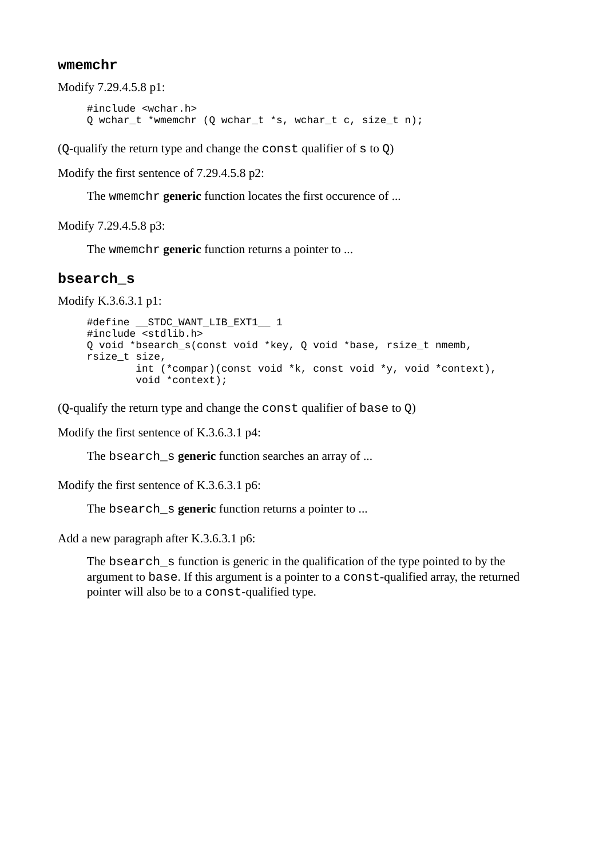#### **wmemchr**

```
Modify 7.29.4.5.8 p1:
     #include <wchar.h>
     Q wchar_t *wmemchr (Q wchar_t *s, wchar_t c, size_t n);
```
(Q-qualify the return type and change the const qualifier of s to Q)

Modify the first sentence of 7.29.4.5.8 p2:

The wmemchr **generic** function locates the first occurence of ...

Modify 7.29.4.5.8 p3:

The wmemchr **generic** function returns a pointer to ...

#### **bsearch\_s**

Modify K.3.6.3.1 p1:

```
#define __STDC_WANT_LIB_EXT1__ 1
#include <stdlib.h>
Q void *bsearch_s(const void *key, Q void *base, rsize_t nmemb, 
rsize_t size,
         int (*compar)(const void *k, const void *y, void *context),
         void *context);
```
(Q-qualify the return type and change the const qualifier of base to Q)

Modify the first sentence of K.3.6.3.1 p4:

The bsearch\_s **generic** function searches an array of ...

Modify the first sentence of K.3.6.3.1 p6:

The bsearch\_s **generic** function returns a pointer to ...

Add a new paragraph after K.3.6.3.1 p6:

The bsearch\_s function is generic in the qualification of the type pointed to by the argument to base. If this argument is a pointer to a const-qualified array, the returned pointer will also be to a const-qualified type.